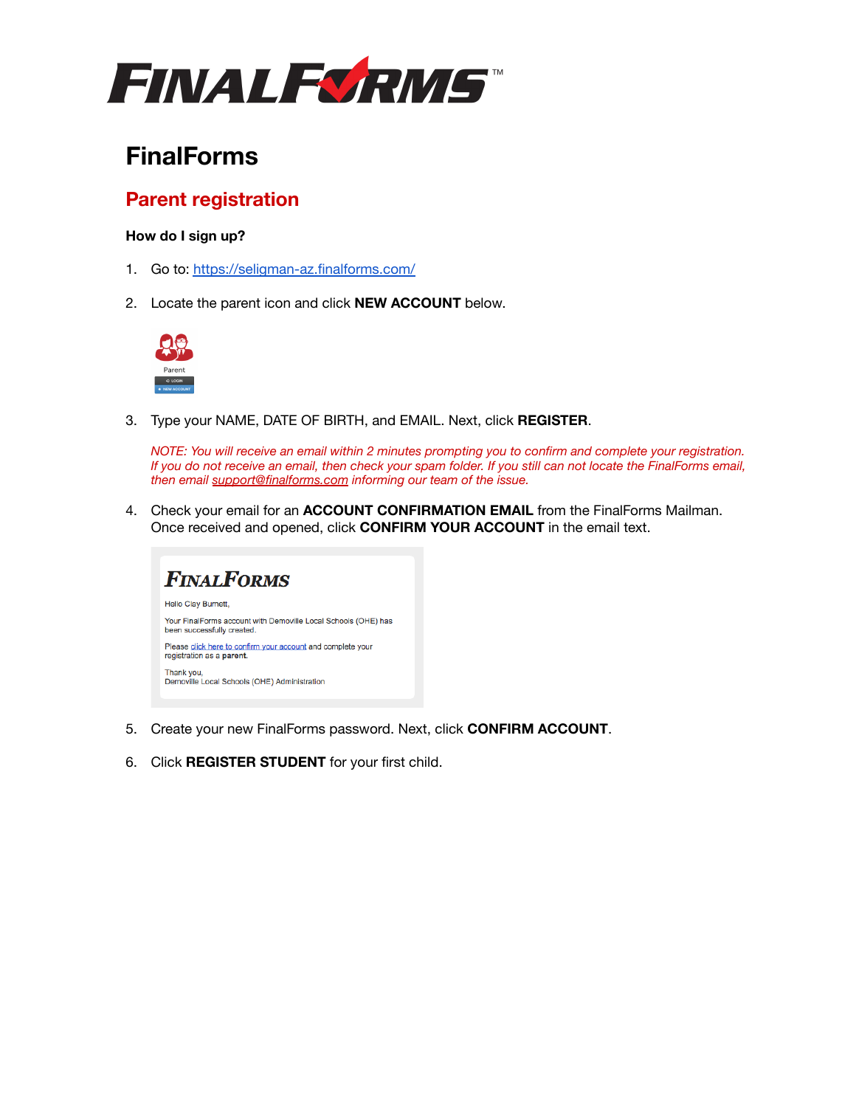

# **FinalForms**

## **Parent registration**

### **How do I sign up?**

- 1. Go to: <https://seligman-az.finalforms.com/>
- 2. Locate the parent icon and click **NEW ACCOUNT** below.



3. Type your NAME, DATE OF BIRTH, and EMAIL. Next, click **REGISTER**.

*NOTE: You will receive an email within 2 minutes prompting you to confirm and complete your registration. If you do not receive an email, then check your spam folder. If you still can not locate the FinalForms email, then email [support@finalforms.com](mailto:support@finalforms.com) informing our team of the issue.*

4. Check your email for an **ACCOUNT CONFIRMATION EMAIL** from the FinalForms Mailman. Once received and opened, click **CONFIRM YOUR ACCOUNT** in the email text.



- 5. Create your new FinalForms password. Next, click **CONFIRM ACCOUNT**.
- 6. Click **REGISTER STUDENT** for your first child.